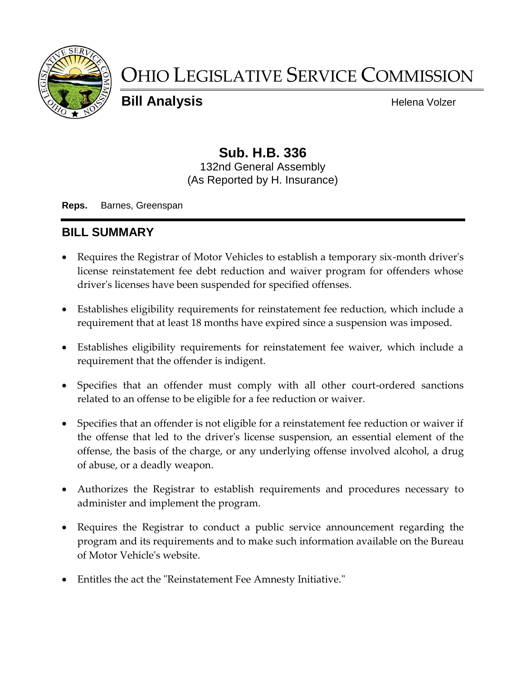

# OHIO LEGISLATIVE SERVICE COMMISSION

**Bill Analysis Helena Volzer Helena Volzer** 

# **Sub. H.B. 336**

132nd General Assembly (As Reported by H. Insurance)

**Reps.** Barnes, Greenspan

## **BILL SUMMARY**

- Requires the Registrar of Motor Vehicles to establish a temporary six-month driver's license reinstatement fee debt reduction and waiver program for offenders whose driver's licenses have been suspended for specified offenses.
- Establishes eligibility requirements for reinstatement fee reduction, which include a requirement that at least 18 months have expired since a suspension was imposed.
- Establishes eligibility requirements for reinstatement fee waiver, which include a requirement that the offender is indigent.
- Specifies that an offender must comply with all other court-ordered sanctions related to an offense to be eligible for a fee reduction or waiver.
- Specifies that an offender is not eligible for a reinstatement fee reduction or waiver if the offense that led to the driver's license suspension, an essential element of the offense, the basis of the charge, or any underlying offense involved alcohol, a drug of abuse, or a deadly weapon.
- Authorizes the Registrar to establish requirements and procedures necessary to administer and implement the program.
- Requires the Registrar to conduct a public service announcement regarding the program and its requirements and to make such information available on the Bureau of Motor Vehicle's website.
- Entitles the act the "Reinstatement Fee Amnesty Initiative."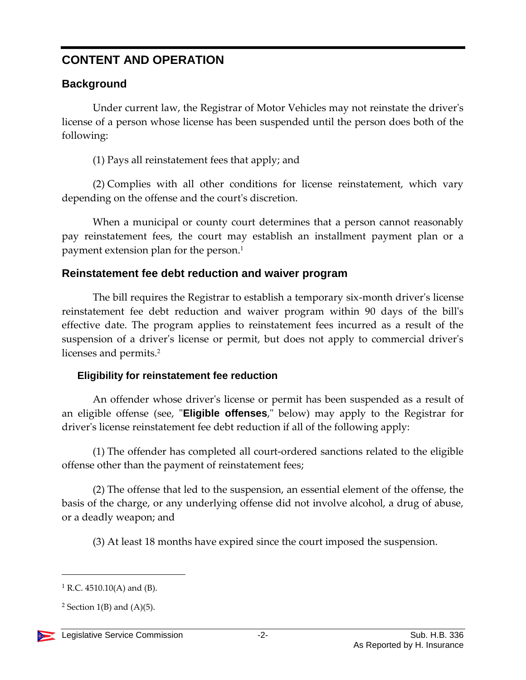# **CONTENT AND OPERATION**

### **Background**

Under current law, the Registrar of Motor Vehicles may not reinstate the driver's license of a person whose license has been suspended until the person does both of the following:

(1) Pays all reinstatement fees that apply; and

(2) Complies with all other conditions for license reinstatement, which vary depending on the offense and the court's discretion.

When a municipal or county court determines that a person cannot reasonably pay reinstatement fees, the court may establish an installment payment plan or a payment extension plan for the person.<sup>1</sup>

#### **Reinstatement fee debt reduction and waiver program**

The bill requires the Registrar to establish a temporary six-month driver's license reinstatement fee debt reduction and waiver program within 90 days of the bill's effective date. The program applies to reinstatement fees incurred as a result of the suspension of a driver's license or permit, but does not apply to commercial driver's licenses and permits.<sup>2</sup>

#### **Eligibility for reinstatement fee reduction**

An offender whose driver's license or permit has been suspended as a result of an eligible offense (see, "**Eligible offenses**," below) may apply to the Registrar for driver's license reinstatement fee debt reduction if all of the following apply:

(1) The offender has completed all court-ordered sanctions related to the eligible offense other than the payment of reinstatement fees;

(2) The offense that led to the suspension, an essential element of the offense, the basis of the charge, or any underlying offense did not involve alcohol, a drug of abuse, or a deadly weapon; and

(3) At least 18 months have expired since the court imposed the suspension.

<sup>&</sup>lt;sup>2</sup> Section 1(B) and  $(A)(5)$ .



 $\overline{a}$ 

 $1 R.C. 4510.10(A)$  and (B).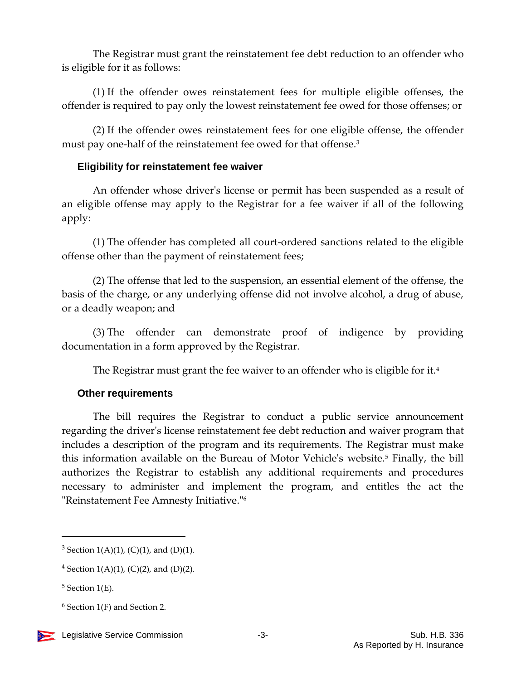The Registrar must grant the reinstatement fee debt reduction to an offender who is eligible for it as follows:

(1) If the offender owes reinstatement fees for multiple eligible offenses, the offender is required to pay only the lowest reinstatement fee owed for those offenses; or

(2) If the offender owes reinstatement fees for one eligible offense, the offender must pay one-half of the reinstatement fee owed for that offense.<sup>3</sup>

#### **Eligibility for reinstatement fee waiver**

An offender whose driver's license or permit has been suspended as a result of an eligible offense may apply to the Registrar for a fee waiver if all of the following apply:

(1) The offender has completed all court-ordered sanctions related to the eligible offense other than the payment of reinstatement fees;

(2) The offense that led to the suspension, an essential element of the offense, the basis of the charge, or any underlying offense did not involve alcohol, a drug of abuse, or a deadly weapon; and

(3) The offender can demonstrate proof of indigence by providing documentation in a form approved by the Registrar.

The Registrar must grant the fee waiver to an offender who is eligible for it.<sup>4</sup>

#### **Other requirements**

The bill requires the Registrar to conduct a public service announcement regarding the driver's license reinstatement fee debt reduction and waiver program that includes a description of the program and its requirements. The Registrar must make this information available on the Bureau of Motor Vehicle's website.<sup>5</sup> Finally, the bill authorizes the Registrar to establish any additional requirements and procedures necessary to administer and implement the program, and entitles the act the "Reinstatement Fee Amnesty Initiative."<sup>6</sup>

 $\overline{a}$ 

 $6$  Section 1(F) and Section 2.



<sup>&</sup>lt;sup>3</sup> Section 1(A)(1), (C)(1), and (D)(1).

<sup>&</sup>lt;sup>4</sup> Section 1(A)(1), (C)(2), and (D)(2).

 $5$  Section 1(E).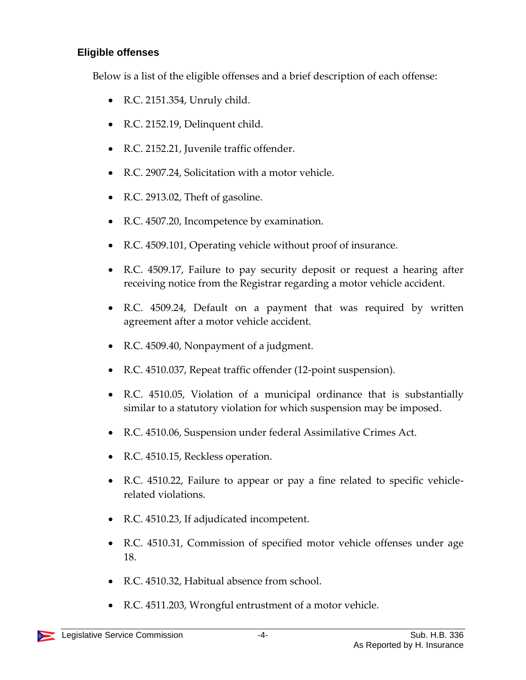#### **Eligible offenses**

Below is a list of the eligible offenses and a brief description of each offense:

- R.C. 2151.354, Unruly child.
- R.C. 2152.19, Delinquent child.
- R.C. 2152.21, Juvenile traffic offender.
- R.C. 2907.24, Solicitation with a motor vehicle.
- R.C. 2913.02, Theft of gasoline.
- R.C. 4507.20, Incompetence by examination.
- R.C. 4509.101, Operating vehicle without proof of insurance.
- R.C. 4509.17, Failure to pay security deposit or request a hearing after receiving notice from the Registrar regarding a motor vehicle accident.
- R.C. 4509.24, Default on a payment that was required by written agreement after a motor vehicle accident.
- R.C. 4509.40, Nonpayment of a judgment.
- R.C. 4510.037, Repeat traffic offender (12-point suspension).
- R.C. 4510.05, Violation of a municipal ordinance that is substantially similar to a statutory violation for which suspension may be imposed.
- R.C. 4510.06, Suspension under federal Assimilative Crimes Act.
- R.C. 4510.15, Reckless operation.
- R.C. 4510.22, Failure to appear or pay a fine related to specific vehiclerelated violations.
- R.C. 4510.23, If adjudicated incompetent.
- R.C. 4510.31, Commission of specified motor vehicle offenses under age 18.
- R.C. 4510.32, Habitual absence from school.
- R.C. 4511.203, Wrongful entrustment of a motor vehicle.